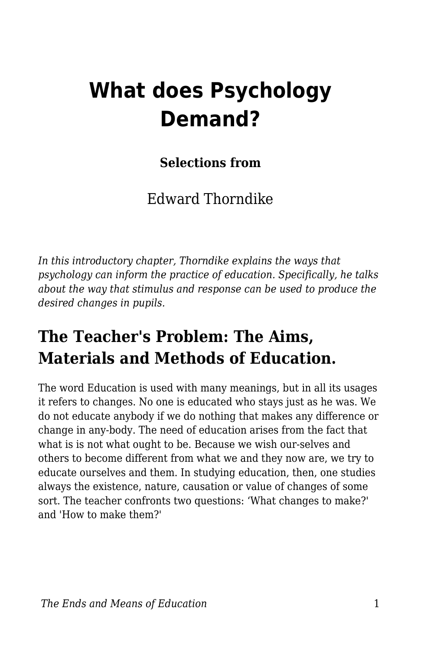# **What does Psychology Demand?**

#### **Selections from**

Edward Thorndike

*In this introductory chapter, Thorndike explains the ways that psychology can inform the practice of education. Specifically, he talks about the way that stimulus and response can be used to produce the desired changes in pupils.* 

### **The Teacher's Problem: The Aims, Materials and Methods of Education.**

The word Education is used with many meanings, but in all its usages it refers to changes. No one is educated who stays just as he was. We do not educate anybody if we do nothing that makes any difference or change in any-body. The need of education arises from the fact that what is is not what ought to be. Because we wish our-selves and others to become different from what we and they now are, we try to educate ourselves and them. In studying education, then, one studies always the existence, nature, causation or value of changes of some sort. The teacher confronts two questions: 'What changes to make?' and 'How to make them?'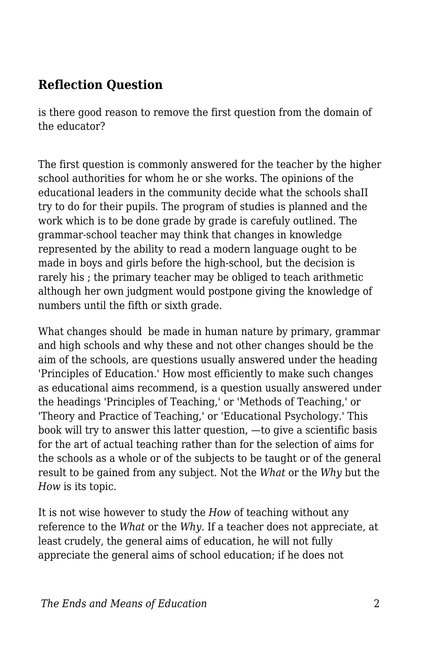#### **Reflection Question**

is there good reason to remove the first question from the domain of the educator?

The first question is commonly answered for the teacher by the higher school authorities for whom he or she works. The opinions of the educational leaders in the community decide what the schools shaII try to do for their pupils. The program of studies is planned and the work which is to be done grade by grade is carefuly outlined. The grammar-school teacher may think that changes in knowledge represented by the ability to read a modern language ought to be made in boys and girls before the high-school, but the decision is rarely his ; the primary teacher may be obliged to teach arithmetic although her own judgment would postpone giving the knowledge of numbers until the fifth or sixth grade.

What changes should be made in human nature by primary, grammar and high schools and why these and not other changes should be the aim of the schools, are questions usually answered under the heading 'Principles of Education.' How most efficiently to make such changes as educational aims recommend, is a question usually answered under the headings 'Principles of Teaching,' or 'Methods of Teaching,' or 'Theory and Practice of Teaching,' or 'Educational Psychology.' This book will try to answer this latter question, —to give a scientific basis for the art of actual teaching rather than for the selection of aims for the schools as a whole or of the subjects to be taught or of the general result to be gained from any subject. Not the *What* or the *Why* but the *How* is its topic.

It is not wise however to study the *How* of teaching without any reference to the *What* or the *Why*. If a teacher does not appreciate, at least crudely, the general aims of education, he will not fully appreciate the general aims of school education; if he does not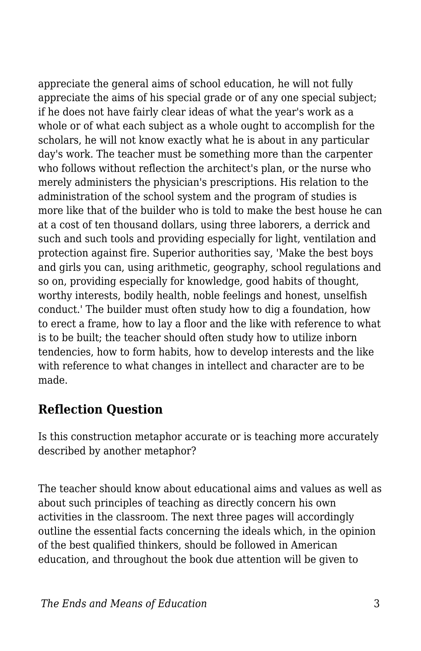appreciate the general aims of school education, he will not fully appreciate the aims of his special grade or of any one special subject; if he does not have fairly clear ideas of what the year's work as a whole or of what each subject as a whole ought to accomplish for the scholars, he will not know exactly what he is about in any particular day's work. The teacher must be something more than the carpenter who follows without reflection the architect's plan, or the nurse who merely administers the physician's prescriptions. His relation to the administration of the school system and the program of studies is more like that of the builder who is told to make the best house he can at a cost of ten thousand dollars, using three laborers, a derrick and such and such tools and providing especially for light, ventilation and protection against fire. Superior authorities say, 'Make the best boys and girls you can, using arithmetic, geography, school regulations and so on, providing especially for knowledge, good habits of thought, worthy interests, bodily health, noble feelings and honest, unselfish conduct.' The builder must often study how to dig a foundation, how to erect a frame, how to lay a floor and the like with reference to what is to be built; the teacher should often study how to utilize inborn tendencies, how to form habits, how to develop interests and the like with reference to what changes in intellect and character are to be made.

#### **Reflection Question**

Is this construction metaphor accurate or is teaching more accurately described by another metaphor?

The teacher should know about educational aims and values as well as about such principles of teaching as directly concern his own activities in the classroom. The next three pages will accordingly outline the essential facts concerning the ideals which, in the opinion of the best qualified thinkers, should be followed in American education, and throughout the book due attention will be given to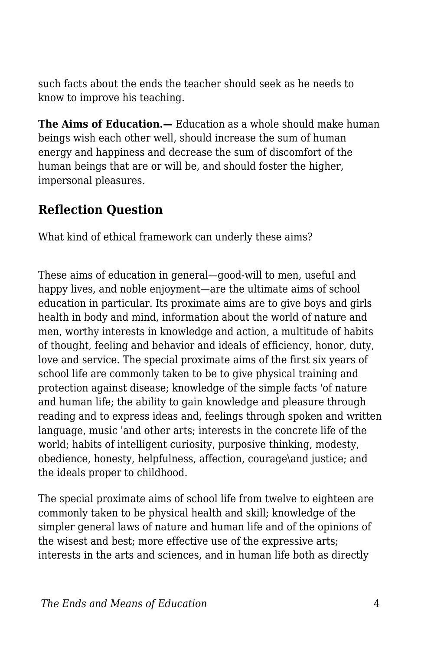such facts about the ends the teacher should seek as he needs to know to improve his teaching.

**The Aims of Education.—** Education as a whole should make human beings wish each other well, should increase the sum of human energy and happiness and decrease the sum of discomfort of the human beings that are or will be, and should foster the higher, impersonal pleasures.

#### **Reflection Question**

What kind of ethical framework can underly these aims?

These aims of education in general—good-will to men, usefuI and happy lives, and noble enjoyment—are the ultimate aims of school education in particular. Its proximate aims are to give boys and girls health in body and mind, information about the world of nature and men, worthy interests in knowledge and action, a multitude of habits of thought, feeling and behavior and ideals of efficiency, honor, duty, love and service. The special proximate aims of the first six years of school life are commonly taken to be to give physical training and protection against disease; knowledge of the simple facts 'of nature and human life; the ability to gain knowledge and pleasure through reading and to express ideas and, feelings through spoken and written language, music 'and other arts; interests in the concrete life of the world; habits of intelligent curiosity, purposive thinking, modesty, obedience, honesty, helpfulness, affection, courage\and justice; and the ideals proper to childhood.

The special proximate aims of school life from twelve to eighteen are commonly taken to be physical health and skill; knowledge of the simpler general laws of nature and human life and of the opinions of the wisest and best; more effective use of the expressive arts; interests in the arts and sciences, and in human life both as directly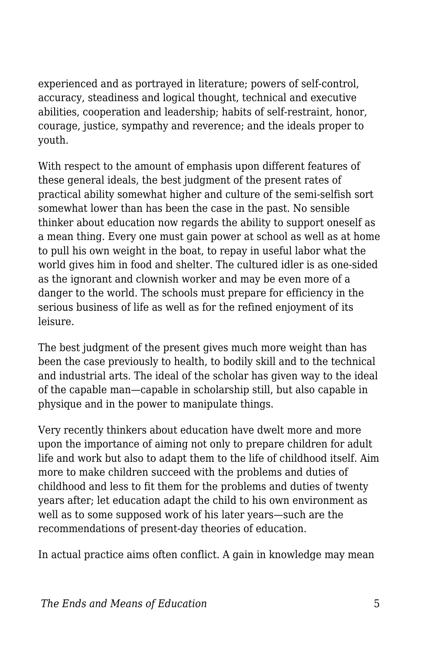experienced and as portrayed in literature; powers of self-control, accuracy, steadiness and logical thought, technical and executive abilities, cooperation and leadership; habits of self-restraint, honor, courage, justice, sympathy and reverence; and the ideals proper to youth.

With respect to the amount of emphasis upon different features of these general ideals, the best judgment of the present rates of practical ability somewhat higher and culture of the semi-selfish sort somewhat lower than has been the case in the past. No sensible thinker about education now regards the ability to support oneself as a mean thing. Every one must gain power at school as well as at home to pull his own weight in the boat, to repay in useful labor what the world gives him in food and shelter. The cultured idler is as one-sided as the ignorant and clownish worker and may be even more of a danger to the world. The schools must prepare for efficiency in the serious business of life as well as for the refined enjoyment of its leisure.

The best judgment of the present gives much more weight than has been the case previously to health, to bodily skill and to the technical and industrial arts. The ideal of the scholar has given way to the ideal of the capable man—capable in scholarship still, but also capable in physique and in the power to manipulate things.

Very recently thinkers about education have dwelt more and more upon the importance of aiming not only to prepare children for adult life and work but also to adapt them to the life of childhood itself. Aim more to make children succeed with the problems and duties of childhood and less to fit them for the problems and duties of twenty years after; let education adapt the child to his own environment as well as to some supposed work of his later years—such are the recommendations of present-day theories of education.

In actual practice aims often conflict. A gain in knowledge may mean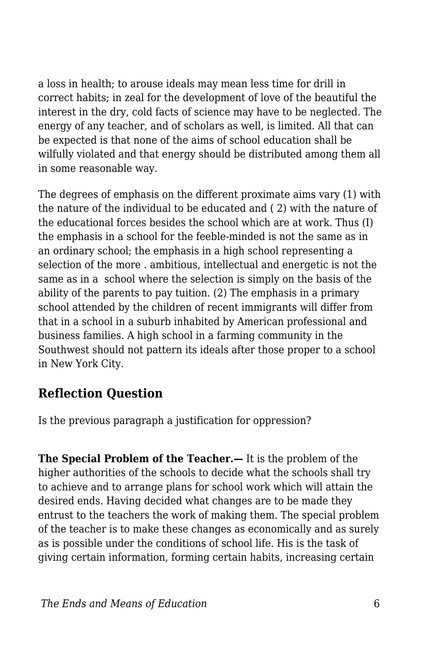a loss in health; to arouse ideals may mean less time for drill in correct habits; in zeal for the development of love of the beautiful the interest in the dry, cold facts of science may have to be neglected. The energy of any teacher, and of scholars as well, is limited. All that can be expected is that none of the aims of school education shall be wilfully violated and that energy should be distributed among them all in some reasonable way.

The degrees of emphasis on the different proximate aims vary (1) with the nature of the individual to be educated and ( 2) with the nature of the educational forces besides the school which are at work. Thus (I) the emphasis in a school for the feeble-minded is not the same as in an ordinary school; the emphasis in a high school representing a selection of the more . ambitious, intellectual and energetic is not the same as in a school where the selection is simply on the basis of the ability of the parents to pay tuition. (2) The emphasis in a primary school attended by the children of recent immigrants will differ from that in a school in a suburb inhabited by American professional and business families. A high school in a farming community in the Southwest should not pattern its ideals after those proper to a school in New York City.

#### **Reflection Question**

Is the previous paragraph a justification for oppression?

**The Special Problem of the Teacher.—** It is the problem of the higher authorities of the schools to decide what the schools shall try to achieve and to arrange plans for school work which will attain the desired ends. Having decided what changes are to be made they entrust to the teachers the work of making them. The special problem of the teacher is to make these changes as economically and as surely as is possible under the conditions of school life. His is the task of giving certain information, forming certain habits, increasing certain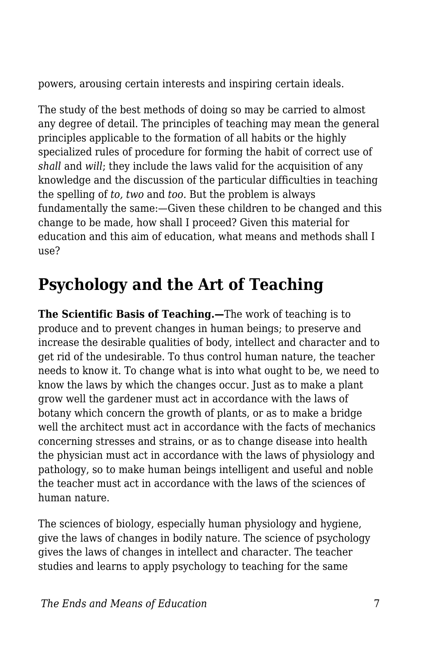powers, arousing certain interests and inspiring certain ideals.

The study of the best methods of doing so may be carried to almost any degree of detail. The principles of teaching may mean the general principles applicable to the formation of all habits or the highly specialized rules of procedure for forming the habit of correct use of *shall* and *will*; they include the laws valid for the acquisition of any knowledge and the discussion of the particular difficulties in teaching the spelling of *to, two* and *too.* But the problem is always fundamentally the same:—Given these children to be changed and this change to be made, how shall I proceed? Given this material for education and this aim of education, what means and methods shall I use?

## **Psychology and the Art of Teaching**

**The Scientific Basis of Teaching.—**The work of teaching is to produce and to prevent changes in human beings; to preserve and increase the desirable qualities of body, intellect and character and to get rid of the undesirable. To thus control human nature, the teacher needs to know it. To change what is into what ought to be, we need to know the laws by which the changes occur. Just as to make a plant grow well the gardener must act in accordance with the laws of botany which concern the growth of plants, or as to make a bridge well the architect must act in accordance with the facts of mechanics concerning stresses and strains, or as to change disease into health the physician must act in accordance with the laws of physiology and pathology, so to make human beings intelligent and useful and noble the teacher must act in accordance with the laws of the sciences of human nature.

The sciences of biology, especially human physiology and hygiene, give the laws of changes in bodily nature. The science of psychology gives the laws of changes in intellect and character. The teacher studies and learns to apply psychology to teaching for the same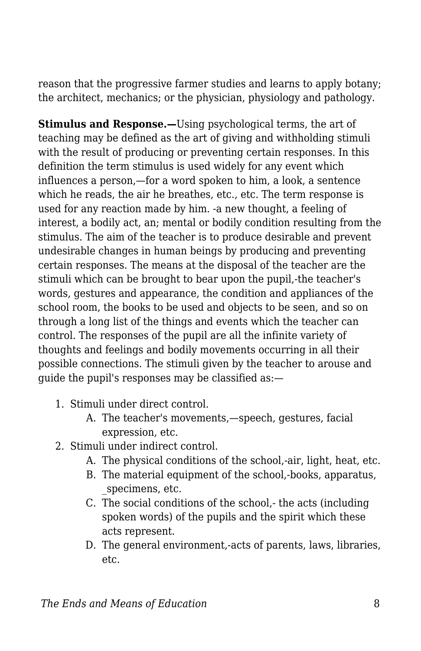reason that the progressive farmer studies and learns to apply botany; the architect, mechanics; or the physician, physiology and pathology.

**Stimulus and Response.—**Using psychological terms, the art of teaching may be defined as the art of giving and withholding stimuli with the result of producing or preventing certain responses. In this definition the term stimulus is used widely for any event which influences a person,—for a word spoken to him, a look, a sentence which he reads, the air he breathes, etc., etc. The term response is used for any reaction made by him. -a new thought, a feeling of interest, a bodily act, an; mental or bodily condition resulting from the stimulus. The aim of the teacher is to produce desirable and prevent undesirable changes in human beings by producing and preventing certain responses. The means at the disposal of the teacher are the stimuli which can be brought to bear upon the pupil,-the teacher's words, gestures and appearance, the condition and appliances of the school room, the books to be used and objects to be seen, and so on through a long list of the things and events which the teacher can control. The responses of the pupil are all the infinite variety of thoughts and feelings and bodily movements occurring in all their possible connections. The stimuli given by the teacher to arouse and guide the pupil's responses may be classified as:—

- 1. Stimuli under direct control.
	- A. The teacher's movements,—speech, gestures, facial expression, etc.
- 2. Stimuli under indirect control.
	- A. The physical conditions of the school,-air, light, heat, etc.
	- B. The material equipment of the school,-books, apparatus, \_specimens, etc.
	- C. The social conditions of the school,- the acts (including spoken words) of the pupils and the spirit which these acts represent.
	- D. The general environment,-acts of parents, laws, libraries, etc.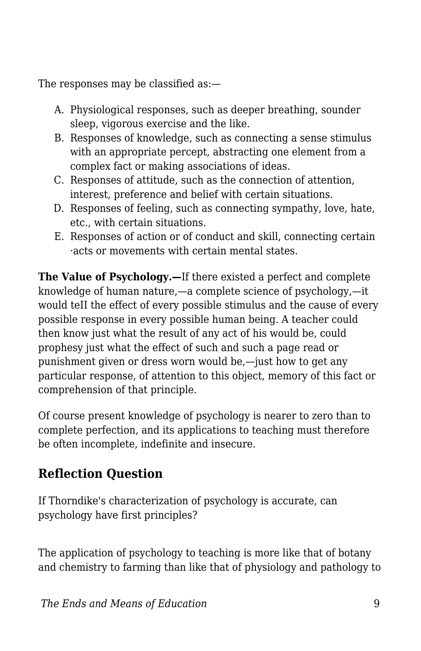The responses may be classified as:—

- A. Physiological responses, such as deeper breathing, sounder sleep, vigorous exercise and the like.
- B. Responses of knowledge, such as connecting a sense stimulus with an appropriate percept, abstracting one element from a complex fact or making associations of ideas.
- C. Responses of attitude, such as the connection of attention, interest, preference and belief with certain situations.
- D. Responses of feeling, such as connecting sympathy, love, hate, etc., with certain situations.
- E. Responses of action or of conduct and skill, connecting certain ·acts or movements with certain mental states.

**The Value of Psychology.—**If there existed a perfect and complete knowledge of human nature,—a complete science of psychology,—it would teII the effect of every possible stimulus and the cause of every possible response in every possible human being. A teacher could then know just what the result of any act of his would be, could prophesy just what the effect of such and such a page read or punishment given or dress worn would be,—just how to get any particular response, of attention to this object, memory of this fact or comprehension of that principle.

Of course present knowledge of psychology is nearer to zero than to complete perfection, and its applications to teaching must therefore be often incomplete, indefinite and insecure.

### **Reflection Question**

If Thorndike's characterization of psychology is accurate, can psychology have first principles?

The application of psychology to teaching is more like that of botany and chemistry to farming than like that of physiology and pathology to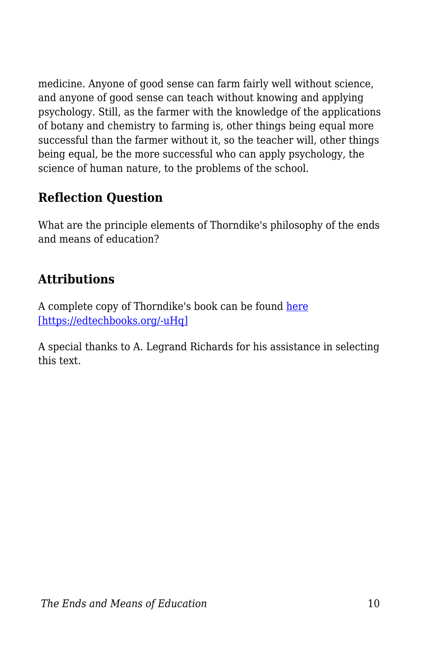medicine. Anyone of good sense can farm fairly well without science, and anyone of good sense can teach without knowing and applying psychology. Still, as the farmer with the knowledge of the applications of botany and chemistry to farming is, other things being equal more successful than the farmer without it, so the teacher will, other things being equal, be the more successful who can apply psychology, the science of human nature, to the problems of the school.

#### **Reflection Question**

What are the principle elements of Thorndike's philosophy of the ends and means of education?

#### **Attributions**

A complete copy of Thorndike's book can be found [here](https://archive.org/details/principlesofteac00thor/page/n5) [\[https://edtechbooks.org/-uHq\]](https://archive.org/details/principlesofteac00thor/page/n5)

A special thanks to A. Legrand Richards for his assistance in selecting this text.